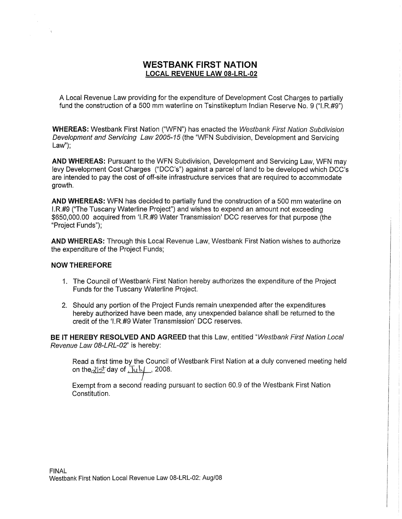## WESTBANK FIRST NATION **NESTBANK FIRST NATION<br>LOCAL REVENUE LAW 08-LRL-02**

A Local Revenue Law providing for the expenditure of Development Cast Charges to partially **<u>LOCAL REVENUE LAW 08-LRL-02</u>**<br>A Local Revenue Law providing for the expenditure of Development Cost Charges to partially<br>fund the construction of a 500 mm waterline on Tsinstikeptum Indian Reserve No. 9 ("I.R.#9")

WHEREAS: Westbank First Nation ("WFN") has enacted the Westbank First Nation Subdivision Development and Servicing Law 2005-15 (the "WFN Subdivision, Development and Servicing  $Law"$ :

AND WHEREAS: Pursuant to the WFN Subdivision, Development and Servicing Law, WFN may levy Development Cost Charges ("DCC's") against a parcel of land to be developed which DCC's are intended to pay the cost of off-site infrastructure services that are required to accommodate growth.

AND WHEREAS: WFN has decided to partially fund the construction of a 500 mm waterline on I. R,#9 ("The Tuscany Waterline Project") and wishes to expend an amount not exceeding \$650,000.00 acquired from 'I.R.#9 Water Transmission' DCC reserves for that purpose (the "Project Funds");

AND WHEREAS: Through this Local Revenue Law, Westbank First Nation wishes to authorize the expenditure of the Project Funds;

## NOW THEREFORE

- 1. The Council of Westbank First Nation hereby authorizes the expenditure of the Project Funds for the Tuscany Waterline Project.
- 2. Should any portion of the Project Funds remain unexpended after the expenditures hereby authorized have been made, any unexpended balance shall be returned to the credit of the 'I.R.#9 Water Transmission' DCC reserves.

BE IT HEREBY RESOLVED AND AGREED that this Law, entitled "Westbank First Nation Local Revenue Law 08-LRL-02" is hereby:

Read a first time by the Council of Westbank First Nation at a duly convened meeting held on the  $2$  s<sup>+</sup> day of  $\overline{J}u$   $\downarrow$  4  $\overline{J}$  2008.

Exempt from <sup>a</sup> second reading pursuant to section 80.9 of the Westbank First Nation Constitution.